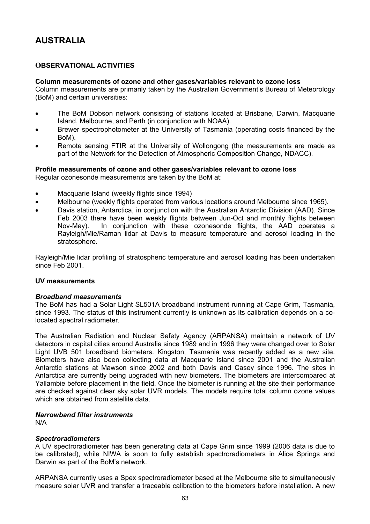# **AUSTRALIA**

# **OBSERVATIONAL ACTIVITIES**

### **Column measurements of ozone and other gases/variables relevant to ozone loss**

Column measurements are primarily taken by the Australian Government's Bureau of Meteorology (BoM) and certain universities:

- The BoM Dobson network consisting of stations located at Brisbane, Darwin, Macquarie Island, Melbourne, and Perth (in conjunction with NOAA).
- Brewer spectrophotometer at the University of Tasmania (operating costs financed by the BoM).
- Remote sensing FTIR at the University of Wollongong (the measurements are made as part of the Network for the Detection of Atmospheric Composition Change, NDACC).

### **Profile measurements of ozone and other gases/variables relevant to ozone loss**

Regular ozonesonde measurements are taken by the BoM at:

- Macquarie Island (weekly flights since 1994)
- Melbourne (weekly flights operated from various locations around Melbourne since 1965).
- Davis station, Antarctica, in conjunction with the Australian Antarctic Division (AAD). Since Feb 2003 there have been weekly flights between Jun-Oct and monthly flights between Nov-May). In conjunction with these ozonesonde flights, the AAD operates a Rayleigh/Mie/Raman lidar at Davis to measure temperature and aerosol loading in the stratosphere.

Rayleigh/Mie lidar profiling of stratospheric temperature and aerosol loading has been undertaken since Feb 2001.

#### **UV measurements**

#### *Broadband measurements*

The BoM has had a Solar Light SL501A broadband instrument running at Cape Grim, Tasmania, since 1993. The status of this instrument currently is unknown as its calibration depends on a colocated spectral radiometer.

The Australian Radiation and Nuclear Safety Agency (ARPANSA) maintain a network of UV detectors in capital cities around Australia since 1989 and in 1996 they were changed over to Solar Light UVB 501 broadband biometers. Kingston, Tasmania was recently added as a new site. Biometers have also been collecting data at Macquarie Island since 2001 and the Australian Antarctic stations at Mawson since 2002 and both Davis and Casey since 1996. The sites in Antarctica are currently being upgraded with new biometers. The biometers are intercompared at Yallambie before placement in the field. Once the biometer is running at the site their performance are checked against clear sky solar UVR models. The models require total column ozone values which are obtained from satellite data.

### *Narrowband filter instruments*

N/A

#### *Spectroradiometers*

A UV spectroradiometer has been generating data at Cape Grim since 1999 (2006 data is due to be calibrated), while NIWA is soon to fully establish spectroradiometers in Alice Springs and Darwin as part of the BoM's network.

ARPANSA currently uses a Spex spectroradiometer based at the Melbourne site to simultaneously measure solar UVR and transfer a traceable calibration to the biometers before installation. A new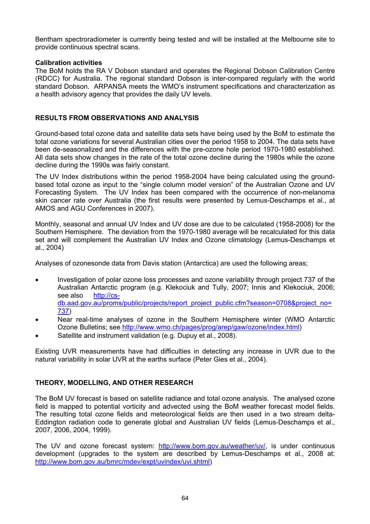Bentham spectroradiometer is currently being tested and will be installed at the Melbourne site to provide continuous spectral scans.

### **Calibration activities**

The BoM holds the RA V Dobson standard and operates the Regional Dobson Calibration Centre (RDCC) for Australia. The regional standard Dobson is inter-compared regularly with the world standard Dobson. ARPANSA meets the WMO's instrument specifications and characterization as a health advisory agency that provides the daily UV levels.

# **RESULTS FROM OBSERVATIONS AND ANALYSIS**

Ground-based total ozone data and satellite data sets have being used by the BoM to estimate the total ozone variations for several Australian cities over the period 1958 to 2004. The data sets have been de-seasonalized and the differences with the pre-ozone hole period 1970-1980 established. All data sets show changes in the rate of the total ozone decline during the 1980s while the ozone decline during the 1990s was fairly constant.

The UV Index distributions within the period 1958-2004 have being calculated using the groundbased total ozone as input to the "single column model version" of the Australian Ozone and UV Forecasting System. The UV Index has been compared with the occurrence of non-melanoma skin cancer rate over Australia (the first results were presented by Lemus-Deschamps et al., at AMOS and AGU Conferences in 2007).

Monthly, seasonal and annual UV Index and UV dose are due to be calculated (1958-2008) for the Southern Hemisphere. The deviation from the 1970-1980 average will be recalculated for this data set and will complement the Australian UV Index and Ozone climatology (Lemus-Deschamps et al., 2004)

Analyses of ozonesonde data from Davis station (Antarctica) are used the following areas;

- Investigation of polar ozone loss processes and ozone variability through project 737 of the Australian Antarctic program (e.g. Klekociuk and Tully, 2007; Innis and Klekociuk, 2006; see also [http://cs](http://cs-db.aad.gov.au/proms/public/projects/report_project_public.cfm?season=0708&project_no=737)[db.aad.gov.au/proms/public/projects/report\\_project\\_public.cfm?season=0708&project\\_no=](http://cs-db.aad.gov.au/proms/public/projects/report_project_public.cfm?season=0708&project_no=737) [737](http://cs-db.aad.gov.au/proms/public/projects/report_project_public.cfm?season=0708&project_no=737))
- Near real-time analyses of ozone in the Southern Hemisphere winter (WMO Antarctic Ozone Bulletins; see <http://www.wmo.ch/pages/prog/arep/gaw/ozone/index.html>)
- Satellite and instrument validation (e.g. Dupuy et al., 2008).

Existing UVR measurements have had difficulties in detecting any increase in UVR due to the natural variability in solar UVR at the earths surface (Peter Gies et al., 2004).

# **THEORY, MODELLING, AND OTHER RESEARCH**

The BoM UV forecast is based on satellite radiance and total ozone analysis. The analysed ozone field is mapped to potential vorticity and advected using the BoM weather forecast model fields. The resulting total ozone fields and meteorological fields are then used in a two stream delta-Eddington radiation code to generate global and Australian UV fields (Lemus-Deschamps et al., 2007, 2006, 2004, 1999).

The UV and ozone forecast system: [http://www.bom.gov.au/weather/uv/,](http://www.bom.gov.au/weather/uv/) is under continuous development (upgrades to the system are described by Lemus-Deschamps et al., 2008 at: <http://www.bom.gov.au/bmrc/mdev/expt/uvindex/uvi.shtml>)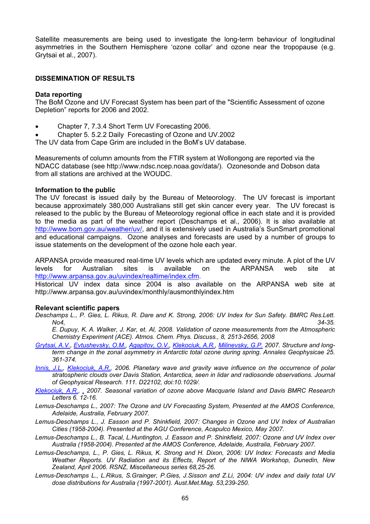Satellite measurements are being used to investigate the long-term behaviour of longitudinal asymmetries in the Southern Hemisphere 'ozone collar' and ozone near the tropopause (e.g. Grytsai et al., 2007).

### **DISSEMINATION OF RESULTS**

### **Data reporting**

The BoM Ozone and UV Forecast System has been part of the "Scientific Assessment of ozone Depletion" reports for 2006 and 2002.

- Chapter 7, 7.3.4 Short Term UV Forecasting 2006.
- Chapter 5. 5.2.2 Daily Forecasting of Ozone and UV.2002

The UV data from Cape Grim are included in the BoM's UV database.

Measurements of column amounts from the FTIR system at Wollongong are reported via the NDACC database (see <http://www.ndsc.ncep.noaa.gov/data/>). Ozonesonde and Dobson data from all stations are archived at the WOUDC.

#### **Information to the public**

The UV forecast is issued daily by the Bureau of Meteorology. The UV forecast is important because approximately 380,000 Australians still get skin cancer every year. The UV forecast is released to the public by the Bureau of Meteorology regional office in each state and it is provided to the media as part of the weather report (Deschamps et al., 2006). It is also available at <http://www.bom.gov.au/weather/uv/>, and it is extensively used in Australia's SunSmart promotional and educational campaigns. Ozone analyses and forecasts are used by a number of groups to issue statements on the development of the ozone hole each year.

ARPANSA provide measured real-time UV levels which are updated every minute. A plot of the UV levels for Australian sites is available on the ARPANSA web site at <http://www.arpansa.gov.au/uvindex/realtime/index.cfm>.

Historical UV index data since 2004 is also available on the ARPANSA web site at http://www.arpansa.gov.au/uvindex/monthly/ausmonthlyindex.htm

#### **Relevant scientific papers**

*Deschamps L., P. Gies, L. Rikus, R. Dare and K. Strong, 2006: UV Index for Sun Safety. BMRC Res.Lett. No4, 34-35.* 

*E. Dupuy, K. A. Walker, J. Kar, et. Al, 2008. Validation of ozone measurements from the Atmospheric Chemistry Experiment (ACE). Atmos. Chem. Phys. Discuss., 8, 2513-2656, 2008* 

- *[Grytsai, A.V.,](http://its-db.aad.gov.au/proms/pubn/pubsearch_results.asp?pub_author_list=Grytsai+A.V.&limit=100) [Evtushevsky, O.M.,](http://its-db.aad.gov.au/proms/pubn/pubsearch_results.asp?pub_author_list=Evtushevsky+O.M.&limit=100) [Agapitov, O.V.](http://its-db.aad.gov.au/proms/pubn/pubsearch_results.asp?pub_author_list=Agapitov+O.V.&limit=100), [Klekociuk, A.R.,](http://its-db.aad.gov.au/proms/pubn/pubsearch_results.asp?pub_author_list=Klekociuk+A.R.&limit=100) [Milinevsky, G.P.](http://its-db.aad.gov.au/proms/pubn/pubsearch_results.asp?pub_author_list=Milinevsky+G.P.&limit=100) 2007. Structure and longterm change in the zonal asymmetry in Antarctic total ozone during spring. Annales Geophysicae 25. 361-374.*
- *[Innis, J.L.](http://its-db.aad.gov.au/proms/pubn/pubsearch_results.asp?pub_author_list=Innis+J.L.&limit=100), [Klekociuk, A.R.,](http://its-db.aad.gov.au/proms/pubn/pubsearch_results.asp?pub_author_list=Klekociuk+A.R.&limit=100) 2006. Planetary wave and gravity wave influence on the occurrence of polar stratospheric clouds over Davis Station, Antarctica, seen in lidar and radiosonde observations. Journal of Geophysical Research. 111. D22102, doi:10.1029/.*
- *[Klekociuk, A.R.,](http://its-db.aad.gov.au/proms/pubn/pubsearch_results.asp?pub_author_list=Klekociuk+A.R.&limit=100) [,](http://its-db.aad.gov.au/proms/pubn/pubsearch_results.asp?pub_author_list=Tully+M.B.&limit=100) 2007. Seasonal variation of ozone above Macquarie Island and Davis BMRC Research Letters 6. 12-16.*
- *Lemus-Deschamps L., 2007: The Ozone and UV Forecasting System, Presented at the AMOS Conference, Adelaide, Australia, February 2007.*
- *Lemus-Deschamps L., J. Easson and P. Shinkfield, 2007: Changes in Ozone and UV Index of Australian Cities (1958-2004). Presented at the AGU Conference, Acapulco Mexico, May 2007.*
- *Lemus-Deschamps L., B. Tacal, L.Huntington, J. Easson and P. Shinkfield, 2007: Ozone and UV Index over Australia (1958-2004). Presented at the AMOS Conference, Adelaide, Australia, February 2007.*
- *Lemus-Deschamps, L., P. Gies, L. Rikus, K. Strong and H. Dixon, 2006: UV Index: Forecasts and Media Weather Reports. UV Radiation and its Effects, Report of the NIWA Workshop, Dunedin, New Zealand, April 2006. RSNZ, Miscellaneous series 68,25-26.*
- *Lemus-Deschamps L., L.Rikus, S.Grainger, P.Gies, J.Sisson and Z.Li, 2004: UV index and daily total UV dose distributions for Australia (1997-2001). Aust.Met.Mag. 53,239-250.*